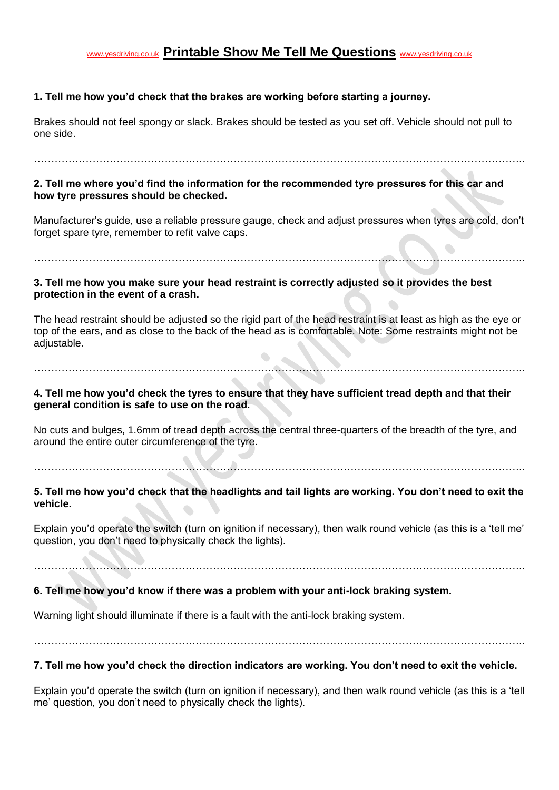## [www.yesdriving.co.uk](http://www.yesdriving.co.uk/) **Printable Show Me Tell Me Questions** [www.yesdriving.co.uk](http://www.yesdriving.co.uk/)

## **1. Tell me how you'd check that the brakes are working before starting a journey.**

Brakes should not feel spongy or slack. Brakes should be tested as you set off. Vehicle should not pull to one side.

…………………………………………………………………………………………………………………………….. **2. Tell me where you'd find the information for the recommended tyre pressures for this car and** 

#### **how tyre pressures should be checked.**

Manufacturer's guide, use a reliable pressure gauge, check and adjust pressures when tyres are cold, don't forget spare tyre, remember to refit valve caps.

……………………………………………………………………………………………………………………………..

#### **3. Tell me how you make sure your head restraint is correctly adjusted so it provides the best protection in the event of a crash.**

The head restraint should be adjusted so the rigid part of the head restraint is at least as high as the eye or top of the ears, and as close to the back of the head as is comfortable. Note: Some restraints might not be adjustable.

……………………………………………………………………………………………………………………………..

## **4. Tell me how you'd check the tyres to ensure that they have sufficient tread depth and that their general condition is safe to use on the road.**

No cuts and bulges, 1.6mm of tread depth across the central three-quarters of the breadth of the tyre, and around the entire outer circumference of the tyre.

……………………………………………………………………………………………………………………………..

## **5. Tell me how you'd check that the headlights and tail lights are working. You don't need to exit the vehicle.**

Explain you'd operate the switch (turn on ignition if necessary), then walk round vehicle (as this is a 'tell me' question, you don't need to physically check the lights).

……………………………………………………………………………………………………………………………..

## **6. Tell me how you'd know if there was a problem with your anti-lock braking system.**

Warning light should illuminate if there is a fault with the anti-lock braking system.

……………………………………………………………………………………………………………………………..

#### **7. Tell me how you'd check the direction indicators are working. You don't need to exit the vehicle.**

Explain you'd operate the switch (turn on ignition if necessary), and then walk round vehicle (as this is a 'tell me' question, you don't need to physically check the lights).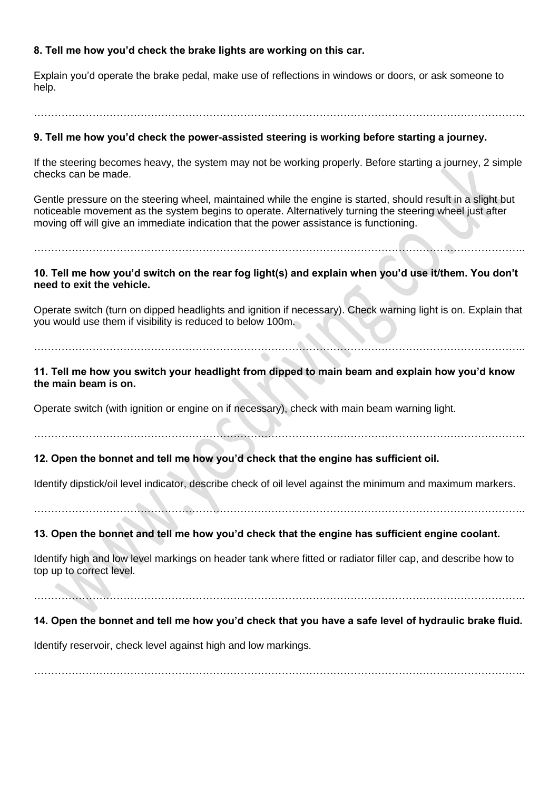## **8. Tell me how you'd check the brake lights are working on this car.**

Explain you'd operate the brake pedal, make use of reflections in windows or doors, or ask someone to help.

……………………………………………………………………………………………………………………………..

#### **9. Tell me how you'd check the power-assisted steering is working before starting a journey.**

If the steering becomes heavy, the system may not be working properly. Before starting a journey, 2 simple checks can be made.

Gentle pressure on the steering wheel, maintained while the engine is started, should result in a slight but noticeable movement as the system begins to operate. Alternatively turning the steering wheel just after moving off will give an immediate indication that the power assistance is functioning.

**10. Tell me how you'd switch on the rear fog light(s) and explain when you'd use it/them. You don't need to exit the vehicle.**

……………………………………………………………………………………………………………………………..

Operate switch (turn on dipped headlights and ignition if necessary). Check warning light is on. Explain that you would use them if visibility is reduced to below 100m.

# ……………………………………………………………………………………………………………………………..

**11. Tell me how you switch your headlight from dipped to main beam and explain how you'd know the main beam is on.**

Operate switch (with ignition or engine on if necessary), check with main beam warning light.

……………………………………………………………………………………………………………………………..

#### **12. Open the bonnet and tell me how you'd check that the engine has sufficient oil.**

Identify dipstick/oil level indicator, describe check of oil level against the minimum and maximum markers.

……………………………………………………………………………………………………………………………..

#### **13. Open the bonnet and tell me how you'd check that the engine has sufficient engine coolant.**

Identify high and low level markings on header tank where fitted or radiator filler cap, and describe how to top up to correct level.

……………………………………………………………………………………………………………………………..

## **14. Open the bonnet and tell me how you'd check that you have a safe level of hydraulic brake fluid.**

Identify reservoir, check level against high and low markings.

……………………………………………………………………………………………………………………………..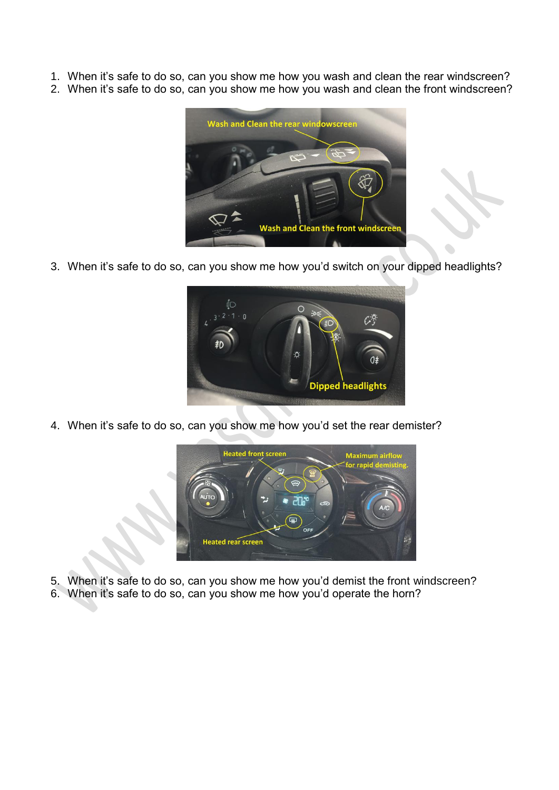- 1. When it's safe to do so, can you show me how you wash and clean the rear windscreen?
- 2. When it's safe to do so, can you show me how you wash and clean the front windscreen?



3. When it's safe to do so, can you show me how you'd switch on your dipped headlights?



4. When it's safe to do so, can you show me how you'd set the rear demister?



- 5. When it's safe to do so, can you show me how you'd demist the front windscreen?
- 6. When it's safe to do so, can you show me how you'd operate the horn?